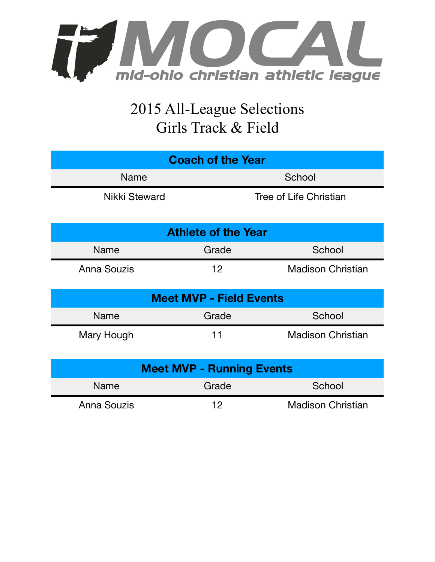

## 2015 All-League Selections Girls Track & Field

| <b>Coach of the Year</b>         |                   |                          |  |  |  |
|----------------------------------|-------------------|--------------------------|--|--|--|
| <b>Name</b>                      |                   | School                   |  |  |  |
| Nikki Steward                    |                   | Tree of Life Christian   |  |  |  |
| <b>Athlete of the Year</b>       |                   |                          |  |  |  |
| <b>Name</b>                      | Grade             | School                   |  |  |  |
| Anna Souzis                      | $12 \overline{ }$ | <b>Madison Christian</b> |  |  |  |
| <b>Meet MVP - Field Events</b>   |                   |                          |  |  |  |
| Name                             | Grade             | School                   |  |  |  |
| Mary Hough                       | 11                | <b>Madison Christian</b> |  |  |  |
| <b>Meet MVP - Running Events</b> |                   |                          |  |  |  |
| <b>Name</b>                      | Grade             | School                   |  |  |  |
| Anna Souzis                      | 12                | <b>Madison Christian</b> |  |  |  |